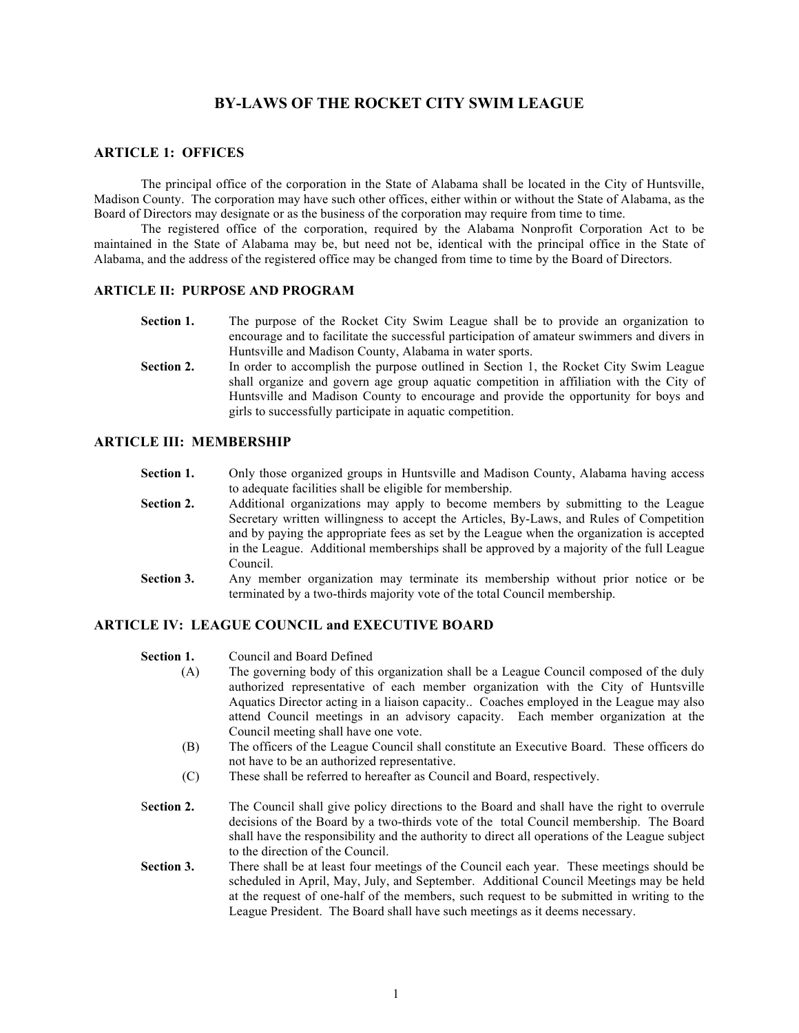# **BY-LAWS OF THE ROCKET CITY SWIM LEAGUE**

## **ARTICLE 1: OFFICES**

The principal office of the corporation in the State of Alabama shall be located in the City of Huntsville, Madison County. The corporation may have such other offices, either within or without the State of Alabama, as the Board of Directors may designate or as the business of the corporation may require from time to time.

The registered office of the corporation, required by the Alabama Nonprofit Corporation Act to be maintained in the State of Alabama may be, but need not be, identical with the principal office in the State of Alabama, and the address of the registered office may be changed from time to time by the Board of Directors.

### **ARTICLE II: PURPOSE AND PROGRAM**

- **Section 1.** The purpose of the Rocket City Swim League shall be to provide an organization to encourage and to facilitate the successful participation of amateur swimmers and divers in Huntsville and Madison County, Alabama in water sports.
- Section 2. In order to accomplish the purpose outlined in Section 1, the Rocket City Swim League shall organize and govern age group aquatic competition in affiliation with the City of Huntsville and Madison County to encourage and provide the opportunity for boys and girls to successfully participate in aquatic competition.

#### **ARTICLE III: MEMBERSHIP**

- **Section 1.** Only those organized groups in Huntsville and Madison County, Alabama having access to adequate facilities shall be eligible for membership.
- **Section 2.** Additional organizations may apply to become members by submitting to the League Secretary written willingness to accept the Articles, By-Laws, and Rules of Competition and by paying the appropriate fees as set by the League when the organization is accepted in the League. Additional memberships shall be approved by a majority of the full League Council.
- **Section 3.** Any member organization may terminate its membership without prior notice or be terminated by a two-thirds majority vote of the total Council membership.

# **ARTICLE IV: LEAGUE COUNCIL and EXECUTIVE BOARD**

| Section 1. |  | Council and Board Defined |
|------------|--|---------------------------|
|            |  |                           |

- (A) The governing body of this organization shall be a League Council composed of the duly authorized representative of each member organization with the City of Huntsville Aquatics Director acting in a liaison capacity.. Coaches employed in the League may also attend Council meetings in an advisory capacity. Each member organization at the Council meeting shall have one vote.
- (B) The officers of the League Council shall constitute an Executive Board. These officers do not have to be an authorized representative.
- (C) These shall be referred to hereafter as Council and Board, respectively.
- S**ection 2.** The Council shall give policy directions to the Board and shall have the right to overrule decisions of the Board by a two-thirds vote of the total Council membership. The Board shall have the responsibility and the authority to direct all operations of the League subject to the direction of the Council.
- **Section 3.** There shall be at least four meetings of the Council each year. These meetings should be scheduled in April, May, July, and September. Additional Council Meetings may be held at the request of one-half of the members, such request to be submitted in writing to the League President. The Board shall have such meetings as it deems necessary.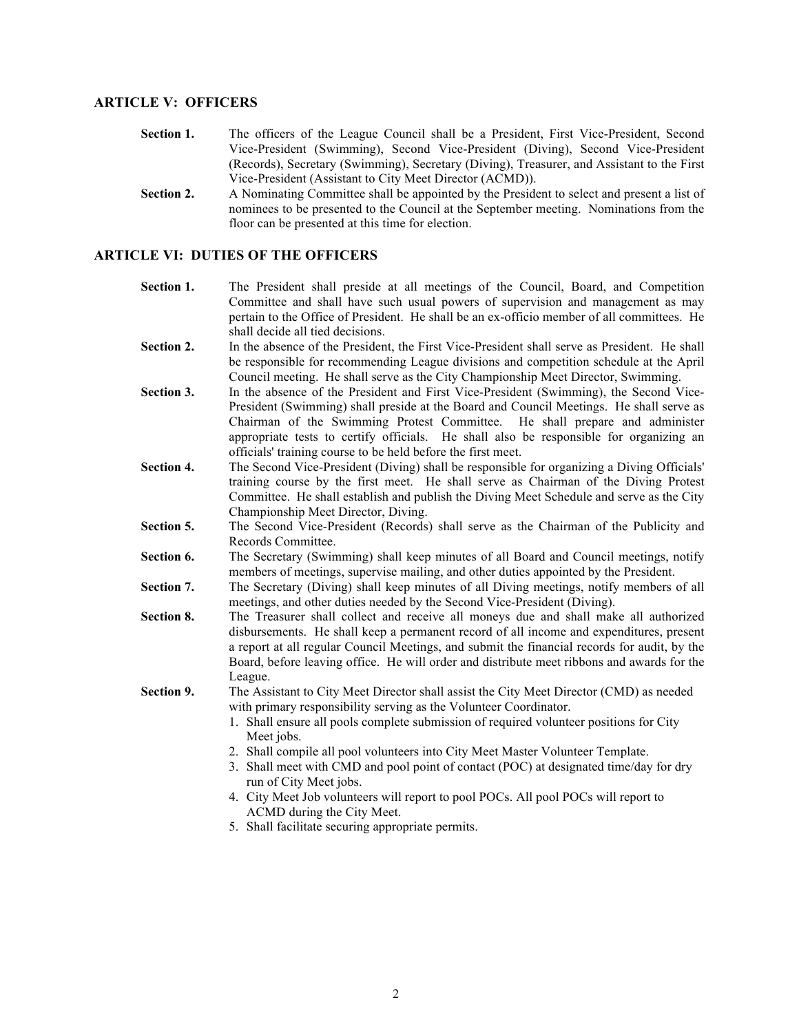# **ARTICLE V: OFFICERS**

- **Section 1.** The officers of the League Council shall be a President, First Vice-President, Second Vice-President (Swimming), Second Vice-President (Diving), Second Vice-President (Records), Secretary (Swimming), Secretary (Diving), Treasurer, and Assistant to the First Vice-President (Assistant to City Meet Director (ACMD)).
- **Section 2.** A Nominating Committee shall be appointed by the President to select and present a list of nominees to be presented to the Council at the September meeting. Nominations from the floor can be presented at this time for election.

# **ARTICLE VI: DUTIES OF THE OFFICERS**

- **Section 1.** The President shall preside at all meetings of the Council, Board, and Competition Committee and shall have such usual powers of supervision and management as may pertain to the Office of President. He shall be an ex-officio member of all committees. He shall decide all tied decisions.
- **Section 2.** In the absence of the President, the First Vice-President shall serve as President. He shall be responsible for recommending League divisions and competition schedule at the April Council meeting. He shall serve as the City Championship Meet Director, Swimming.
- **Section 3.** In the absence of the President and First Vice-President (Swimming), the Second Vice-President (Swimming) shall preside at the Board and Council Meetings. He shall serve as Chairman of the Swimming Protest Committee. He shall prepare and administer appropriate tests to certify officials. He shall also be responsible for organizing an officials' training course to be held before the first meet.
- **Section 4.** The Second Vice-President (Diving) shall be responsible for organizing a Diving Officials' training course by the first meet. He shall serve as Chairman of the Diving Protest Committee. He shall establish and publish the Diving Meet Schedule and serve as the City Championship Meet Director, Diving.
- **Section 5.** The Second Vice-President (Records) shall serve as the Chairman of the Publicity and Records Committee.
- **Section 6.** The Secretary (Swimming) shall keep minutes of all Board and Council meetings, notify members of meetings, supervise mailing, and other duties appointed by the President.
- **Section 7.** The Secretary (Diving) shall keep minutes of all Diving meetings, notify members of all meetings, and other duties needed by the Second Vice-President (Diving).
- **Section 8.** The Treasurer shall collect and receive all moneys due and shall make all authorized disbursements. He shall keep a permanent record of all income and expenditures, present a report at all regular Council Meetings, and submit the financial records for audit, by the Board, before leaving office. He will order and distribute meet ribbons and awards for the League.
- **Section 9.** The Assistant to City Meet Director shall assist the City Meet Director (CMD) as needed with primary responsibility serving as the Volunteer Coordinator.
	- 1. Shall ensure all pools complete submission of required volunteer positions for City Meet jobs.
	- 2. Shall compile all pool volunteers into City Meet Master Volunteer Template.
	- 3. Shall meet with CMD and pool point of contact (POC) at designated time/day for dry run of City Meet jobs.
	- 4. City Meet Job volunteers will report to pool POCs. All pool POCs will report to ACMD during the City Meet.
	- 5. Shall facilitate securing appropriate permits.